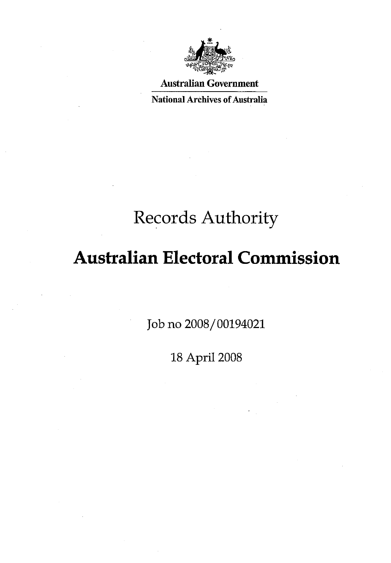

Australian Government

National Archives of Australia

# Records Authority

# **Australian Electoral Commission**

Job no 2008/00194021

18 April 2008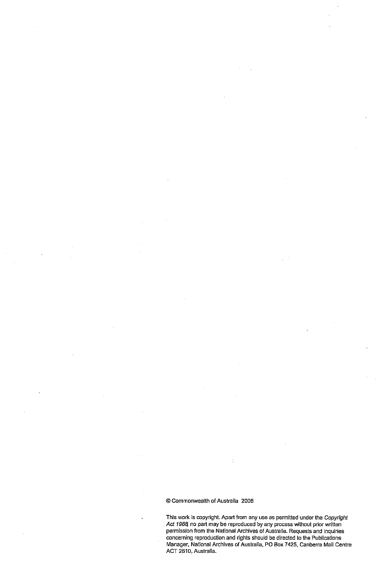#### © Commonwealth of Australia 2008

Ŷ.

This work is copyright. Apart from any use as permitted under the Copyright Act 1968 no part may be reproduced by any process without prior written permission from the National Archives of Australla. Requests and inquiries concerning reproduction and rights should be directed to the Publications Manager, National Archives of Australia, PO Box 7425, Canberra Mail Centre ACT 2610, Australia.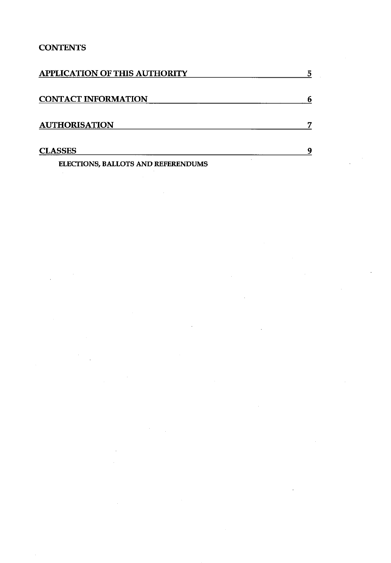### **CONTENTS**

 $\overline{\phantom{a}}$ 

| <b>APPLICATION OF THIS AUTHORITY</b> | 5 |
|--------------------------------------|---|
| <b>CONTACT INFORMATION</b>           | ĥ |
| <b>AUTHORISATION</b>                 |   |
| <b>CLASSES</b>                       | Q |

ELECflONS, BALLOTS AND REFERENDUMS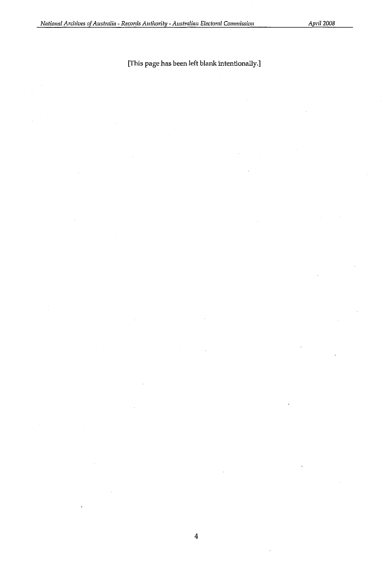[This page has been left blank intentionally.]

4

 $\ddot{\phantom{0}}$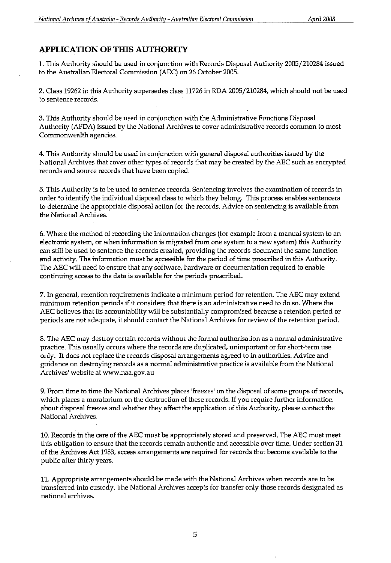### **APPLICATION OF TIllS AUTHORITY**

1. This Authority should be used in conjunction with Records Disposal Authority 2005/210284 issued to the Australian Electoral Commission (AEC) on 26 October 2005.

2. Class 19262 in this Authority supersedes class 11726 in RDA 2005/210284, which should not be used **to sentence records.** 

3. This Authority should be used in conjunction with the Administrative Functions Disposal Authority (AFDA) issued by the National Archives to cover administrative records cornmon to most Commonwealth agencies.

4. This Authority should be used in conjunction with general disposal authorities issued by the National Archives that cover other types of records that may be created by the AEC such as encrypted records and source records that have been copied.

5. This Authority is to be used to sentence records. Sentencing involves the examination of records in order to identify the individual disposal class to which they belong. This process enables sentencers to determine the appropriate disposal action for the records. Advice on sentencing is available from the National Archives.

6. Where the method of recording the information changes (for example from a manual system to an electronic system, or when information is migrated from one system to a new system) this Authority can still be used to sentence the records created, providing the records document the same function and activity. The information must be accessible for the period of time prescribed in this Authority. The AEC will need to ensure that any software, hardware or documentation required to enable continuing access to the data is available for the periods prescribed.

7. In general, retention requirements indicate a minimum period for retention. The AEC may extend minimum retention periods ifit considers that there is an administrative need to do so. Where the AEC believes that its accountability will be substantially compromised because a retention period or periods are not adequate, it should contact the National Archives for review of the retention period.

8. The AEC may destroy certain records without the formal authorisation as a normal administrative practice. This usually occurs where the records are duplicated, unimportant or for short-term use only. It does not replace the records disposal arrangements agreed to in authorities. Advice and guidance on destroying records as a normal administrative practice is available from the National Archives' website at www.naa.gov.au

9. From time to time the National Archives places 'freezes' on the disposal of some groups of records, which places a moratorium on the destruction of these records. If you require further information about disposal freezes and whether they affect the application of this Authority, please contact the National Archives.

10. Records in the care of the AEC must be appropriately stored and preserved. The AEC must meet this obligation to ensure that the records remain authentic and accessible over time. Under section 31 of the Archives Act 1983, access arrangements are required for records that become available to the public after thirty years.

11. Appropriate arrangements should be made with the National Archives when records are to be transferred into custody. The National Archives accepts for transfer only those records designated as national archives.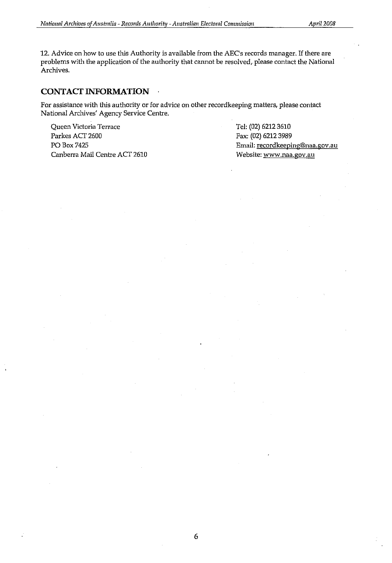12. Advice on how to use this Authority is available from the AEC's records manager. If there are problems with the application of the authority that cannot be resolved, please contact the National Archives.

#### **CONTACT INFORMATION**   $\ddot{\phantom{a}}$

For assistance with this authority or for advice on other recordkeeping matters, please contact National Archives' Agency Service Centre.

Queen Victoria Terrace Tel: (02) 6212 3610 Parkes ACT 2600 Fax: (02) 6212 3989 Canberra Mail Centre ACT 2610 Website: www.naa.gov.au

POBox 7425 Email: recordkeeping@naa.gov.au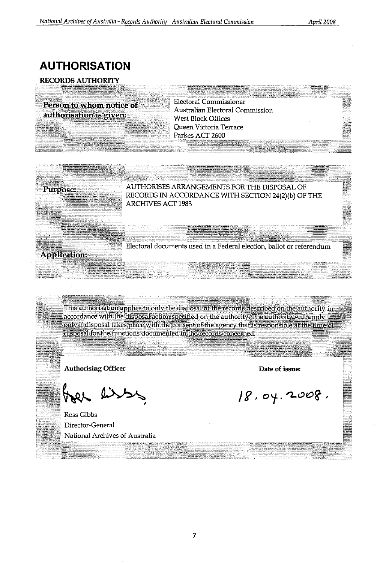## **AUTHORISATION**

### **RECORDS AUTHORITY**



This authorisation applies to only the disposal of the records described on the authority in accordance with the disposal action specified on the authority. The authority will apply only if disposal takes place with the consent of the agency that is responsible at the time of disposal for the functions documented in the records concerned.

**Authorising Officer** 

Ross Gibbs Director-General National Archives of Australia

Date of issue:

 $18.04.2008.$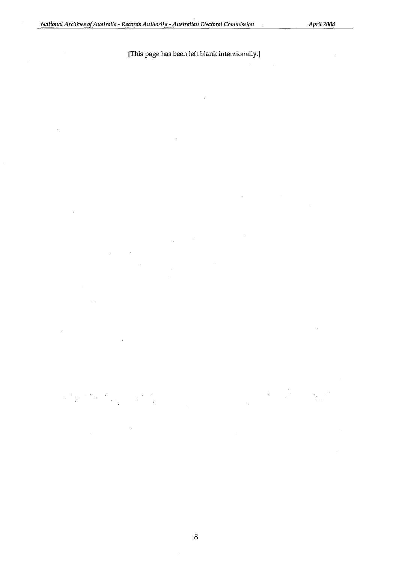$\ddot{\phantom{a}}$ 

 $\label{eq:2.1} \begin{array}{ccccc} & & & \rightarrow & & \uparrow & \\ & & \downarrow & & & \downarrow \\ & & \downarrow & & & \downarrow \\ \end{array}$ 

k

 $\label{eq:2.1} \mathcal{L} = \frac{1}{2} \left( \frac{1}{2} \left( \frac{1}{2} \right)^2 - \frac{1}{2} \left( \frac{1}{2} \right)^2 \right) \left( \frac{1}{2} \right) \, .$ 

 $\bar{\mathcal{A}}$ 

 $\sim 10^{11}$ 

 $\frac{1}{\sqrt{2}}$ 

[This page has been left blank intentionally.]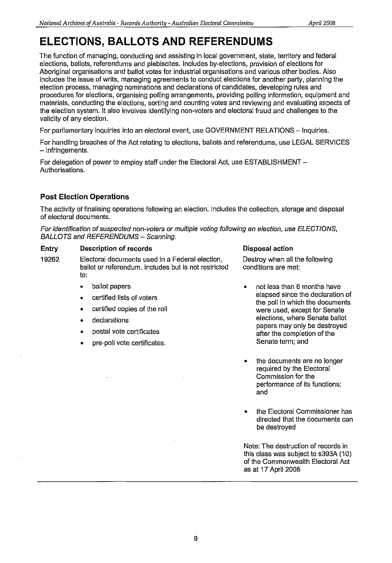## **ELECTIONS, BALLOTS AND REFERENDUMS**

The function of managing, conducting and assisting in locai government, state, territory and federai eiections, ballots, referendums and plebiscites. Includes by-elections, provision of eiections for Aboriginai organisations and ballot votes for industrial organisations and various other bodies. Also includes the issue of writs, managing agreements to conduct elections for another party, planning the election process, managing nominations and declarations of candidates, developing rules and procedures for elections, organising polling arrangements, providing polling information, equipment and materials, conducting the elections, sorting and counting votes and reviewing and evaluating aspects of the election system. It also involves identifying non-voters and electoral fraud and challenges to the validity of any election.

For parliamentary inquiries into an electoral event, use GOVERNMENT RELATIONS - Inquiries.

For handling breaches of the Act relating to elections, ballots and referendums, use LEGAL SERVICES - Infringements.

For delegation of power to employ staff under the Electoral Act, use ESTABLISHMENT -Authorisations.

### **Post Election Operations**

The activity of finalising operations following an election. Includes the collection, storage and disposal of electoral documents.

For identification of suspected non-voters or multiple voting following an election, use ELECTIONS, BALLOTS and REFERENDUMS - Scanning.

### **Entry** Description of records **Disposal action**

- 19262 Electoral documents used in a Federal election, Destroy when all the following ballot or referendum. Includes but is not restricted to:
	-
	-
	-
	-
	-
	- pre-poll vote certificates. The state of the Senate term; and

- ballot papers not less than 6 months have<br>
 not less than 6 months have<br>
 not less than 6 months have<br>
 elapsed since the declaration of elapsed since the declaration of • certified lists of voters the poll in which the documents • certified copies of the roll were used, except for Senate elections, where Senate ballot • declarations<br>
oapers may only be destroyed<br>
oapers may only be destroyed • postal vote certificates **and the destroyed in the completion** of the
	- the documents are no longer required by the Eiectoral Commission for the performance of its functions; and
	- the Electoral Commissioner has directed that the documents can be destroyed

Note: The destruction of records in this class was subject to s393A (10) of the Commonwealth Electoral Act as at 17 April 2008